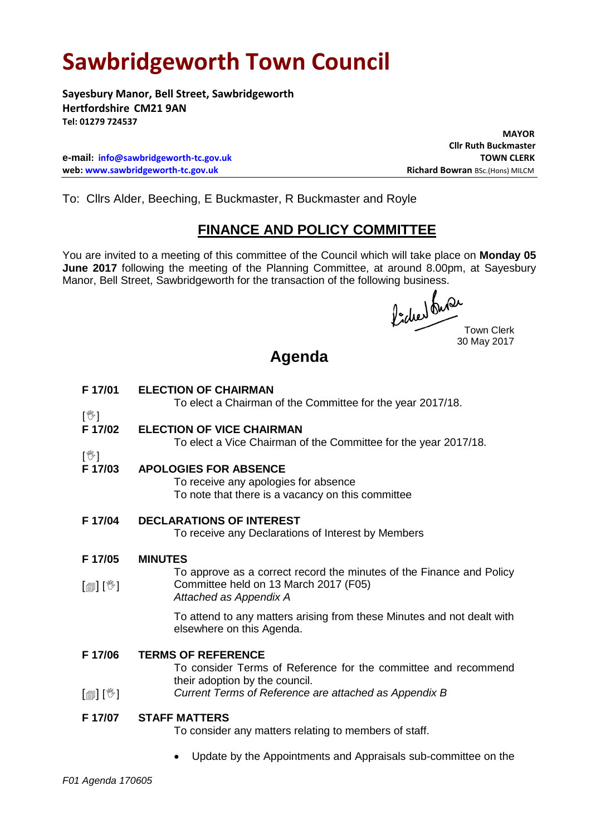# **Sawbridgeworth Town Council**

**Sayesbury Manor, Bell Street, Sawbridgeworth Hertfordshire CM21 9AN Tel: 01279 724537**

**e-mail: [info@sawbridgeworth-tc.gov.uk](mailto:info@sawbridgeworth-tc.gov.uk) TOWN CLERK web: www.sawbridgeworth-tc.gov.uk Richard Bowran BSc.(Hons) MILCM Richard Bowran BSc.(Hons) MILCM** 

 **MAYOR Cllr Ruth Buckmaster**

To: Cllrs Alder, Beeching, E Buckmaster, R Buckmaster and Royle

### **FINANCE AND POLICY COMMITTEE**

You are invited to a meeting of this committee of the Council which will take place on **Monday 05 June 2017** following the meeting of the Planning Committee, at around 8.00pm, at Sayesbury Manor, Bell Street, Sawbridgeworth for the transaction of the following business.<br>  $\int_{\mathbb{R}} \int_{\mathbb{R}} \mathbb{R} \mathbb{R}^2$ 

Town Clerk 30 May 2017

## **Agenda**

| F 17/01                               | <b>ELECTION OF CHAIRMAN</b><br>To elect a Chairman of the Committee for the year 2017/18.                                                                                              |
|---------------------------------------|----------------------------------------------------------------------------------------------------------------------------------------------------------------------------------------|
| $\mathbb{R}^2$<br>F 17/02             | <b>ELECTION OF VICE CHAIRMAN</b><br>To elect a Vice Chairman of the Committee for the year 2017/18.                                                                                    |
| $[\mathbb{V}]$<br>F 17/03             | <b>APOLOGIES FOR ABSENCE</b><br>To receive any apologies for absence<br>To note that there is a vacancy on this committee                                                              |
| F 17/04                               | <b>DECLARATIONS OF INTEREST</b><br>To receive any Declarations of Interest by Members                                                                                                  |
| F 17/05<br>$\mathbb{D}[\mathbb{D}^1]$ | <b>MINUTES</b><br>To approve as a correct record the minutes of the Finance and Policy<br>Committee held on 13 March 2017 (F05)<br>Attached as Appendix A                              |
|                                       | To attend to any matters arising from these Minutes and not dealt with<br>elsewhere on this Agenda.                                                                                    |
| F 17/06<br>$\mathbb{D}[\mathbb{D}^1]$ | <b>TERMS OF REFERENCE</b><br>To consider Terms of Reference for the committee and recommend<br>their adoption by the council.<br>Current Terms of Reference are attached as Appendix B |
| F 17/07                               | <b>STAFF MATTERS</b><br>To consider any matters relating to members of staff.                                                                                                          |
|                                       | Update by the Appointments and Appraisals sub-committee on the                                                                                                                         |